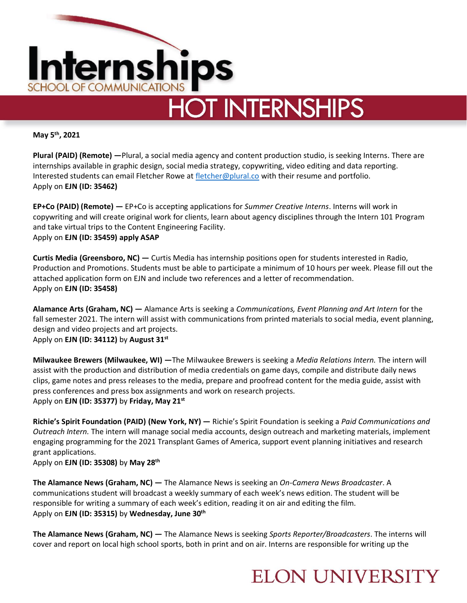

**May 5th, 2021** 

**Plural (PAID) (Remote) —**Plural, a social media agency and content production studio, is seeking Interns. There are internships available in graphic design, social media strategy, copywriting, video editing and data reporting. Interested students can email Fletcher Rowe at [fletcher@plural.co](mailto:fletcher@plural.co) with their resume and portfolio. Apply on **EJN (ID: 35462)** 

**EP+Co (PAID) (Remote) —** EP+Co is accepting applications for *Summer Creative Interns*. Interns will work in copywriting and will create original work for clients, learn about agency disciplines through the Intern 101 Program and take virtual trips to the Content Engineering Facility. Apply on **EJN (ID: 35459) apply ASAP**

**Curtis Media (Greensboro, NC) —** Curtis Media has internship positions open for students interested in Radio, Production and Promotions. Students must be able to participate a minimum of 10 hours per week. Please fill out the attached application form on EJN and include two references and a letter of recommendation. Apply on **EJN (ID: 35458)** 

**Alamance Arts (Graham, NC) —** Alamance Arts is seeking a *Communications, Event Planning and Art Intern* for the fall semester 2021. The intern will assist with communications from printed materials to social media, event planning, design and video projects and art projects.

Apply on **EJN (ID: 34112)** by **August 31st**

**Milwaukee Brewers (Milwaukee, WI) —**The Milwaukee Brewers is seeking a *Media Relations Intern.* The intern will assist with the production and distribution of media credentials on game days, compile and distribute daily news clips, game notes and press releases to the media, prepare and proofread content for the media guide, assist with press conferences and press box assignments and work on research projects. Apply on **EJN (ID: 35377)** by **Friday, May 21st**

**Richie's Spirit Foundation (PAID) (New York, NY) —** Richie's Spirit Foundation is seeking a *Paid Communications and Outreach Intern.* The intern will manage social media accounts, design outreach and marketing materials, implement engaging programming for the 2021 Transplant Games of America, support event planning initiatives and research grant applications.

Apply on **EJN (ID: 35308)** by **May 28th**

**The Alamance News (Graham, NC) —** The Alamance News is seeking an *On-Camera News Broadcaster*. A communications student will broadcast a weekly summary of each week's news edition. The student will be responsible for writing a summary of each week's edition, reading it on air and editing the film. Apply on **EJN (ID: 35315)** by **Wednesday, June 30th**

**The Alamance News (Graham, NC) —** The Alamance News is seeking *Sports Reporter/Broadcasters*. The interns will cover and report on local high school sports, both in print and on air. Interns are responsible for writing up the

## **ELON UNIVERSITY**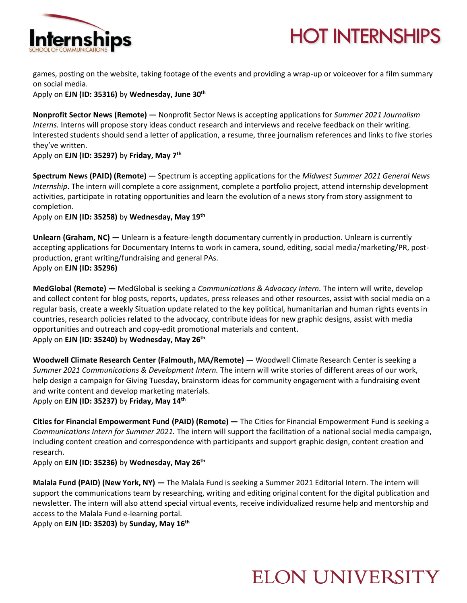



games, posting on the website, taking footage of the events and providing a wrap-up or voiceover for a film summary on social media.

Apply on **EJN (ID: 35316)** by **Wednesday, June 30th**

**Nonprofit Sector News (Remote) —** Nonprofit Sector News is accepting applications for *Summer 2021 Journalism Interns.* Interns will propose story ideas conduct research and interviews and receive feedback on their writing. Interested students should send a letter of application, a resume, three journalism references and links to five stories they've written.

Apply on **EJN (ID: 35297)** by **Friday, May 7th**

**Spectrum News (PAID) (Remote) —** Spectrum is accepting applications for the *Midwest Summer 2021 General News Internship*. The intern will complete a core assignment, complete a portfolio project, attend internship development activities, participate in rotating opportunities and learn the evolution of a news story from story assignment to completion.

Apply on **EJN (ID: 35258)** by **Wednesday, May 19th**

**Unlearn (Graham, NC) —** Unlearn is a feature-length documentary currently in production. Unlearn is currently accepting applications for Documentary Interns to work in camera, sound, editing, social media/marketing/PR, postproduction, grant writing/fundraising and general PAs. Apply on **EJN (ID: 35296)** 

**MedGlobal (Remote) —** MedGlobal is seeking a *Communications & Advocacy Intern.* The intern will write, develop and collect content for blog posts, reports, updates, press releases and other resources, assist with social media on a regular basis, create a weekly Situation update related to the key political, humanitarian and human rights events in countries, research policies related to the advocacy, contribute ideas for new graphic designs, assist with media opportunities and outreach and copy-edit promotional materials and content. Apply on **EJN (ID: 35240)** by **Wednesday, May 26th**

**Woodwell Climate Research Center (Falmouth, MA/Remote) —** Woodwell Climate Research Center is seeking a *Summer 2021 Communications & Development Intern.* The intern will write stories of different areas of our work, help design a campaign for Giving Tuesday, brainstorm ideas for community engagement with a fundraising event and write content and develop marketing materials. Apply on **EJN (ID: 35237)** by **Friday, May 14th**

**Cities for Financial Empowerment Fund (PAID) (Remote) —** The Cities for Financial Empowerment Fund is seeking a *Communications Intern for Summer 2021.* The intern will support the facilitation of a national social media campaign, including content creation and correspondence with participants and support graphic design, content creation and research.

Apply on **EJN (ID: 35236)** by **Wednesday, May 26th**

**Malala Fund (PAID) (New York, NY) —** The Malala Fund is seeking a Summer 2021 Editorial Intern. The intern will support the communications team by researching, writing and editing original content for the digital publication and newsletter. The intern will also attend special virtual events, receive individualized resume help and mentorship and access to the Malala Fund e-learning portal.

Apply on **EJN (ID: 35203)** by **Sunday, May 16th** 

## **ELON UNIVERSITY**